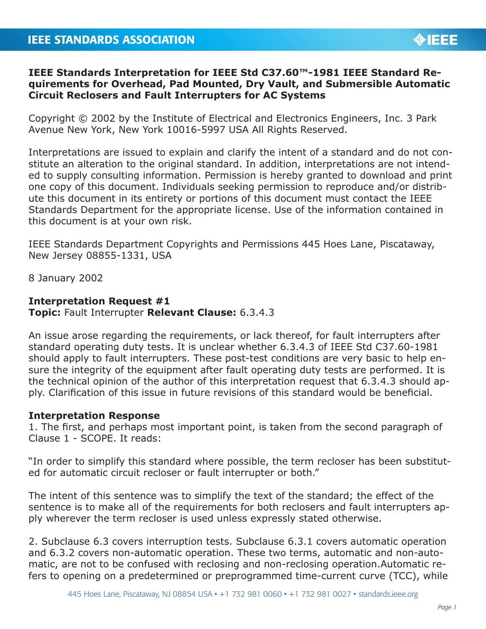## **IEEE Standards Interpretation for IEEE Std C37.60™-1981 IEEE Standard Requirements for Overhead, Pad Mounted, Dry Vault, and Submersible Automatic Circuit Reclosers and Fault Interrupters for AC Systems**

Copyright © 2002 by the Institute of Electrical and Electronics Engineers, Inc. 3 Park Avenue New York, New York 10016-5997 USA All Rights Reserved.

Interpretations are issued to explain and clarify the intent of a standard and do not constitute an alteration to the original standard. In addition, interpretations are not intended to supply consulting information. Permission is hereby granted to download and print one copy of this document. Individuals seeking permission to reproduce and/or distribute this document in its entirety or portions of this document must contact the IEEE Standards Department for the appropriate license. Use of the information contained in this document is at your own risk.

IEEE Standards Department Copyrights and Permissions 445 Hoes Lane, Piscataway, New Jersey 08855-1331, USA

8 January 2002

## **Interpretation Request #1**

**Topic:** Fault Interrupter **Relevant Clause:** 6.3.4.3

An issue arose regarding the requirements, or lack thereof, for fault interrupters after standard operating duty tests. It is unclear whether 6.3.4.3 of IEEE Std C37.60-1981 should apply to fault interrupters. These post-test conditions are very basic to help ensure the integrity of the equipment after fault operating duty tests are performed. It is the technical opinion of the author of this interpretation request that 6.3.4.3 should apply. Clarification of this issue in future revisions of this standard would be beneficial.

## **Interpretation Response**

1. The first, and perhaps most important point, is taken from the second paragraph of Clause 1 - SCOPE. It reads:

"In order to simplify this standard where possible, the term recloser has been substituted for automatic circuit recloser or fault interrupter or both."

The intent of this sentence was to simplify the text of the standard; the effect of the sentence is to make all of the requirements for both reclosers and fault interrupters apply wherever the term recloser is used unless expressly stated otherwise.

2. Subclause 6.3 covers interruption tests. Subclause 6.3.1 covers automatic operation and 6.3.2 covers non-automatic operation. These two terms, automatic and non-automatic, are not to be confused with reclosing and non-reclosing operation.Automatic refers to opening on a predetermined or preprogrammed time-current curve (TCC), while